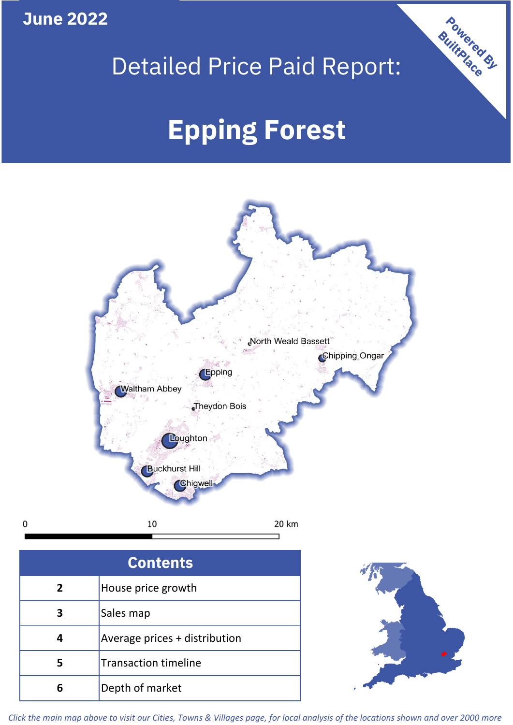**June 2022**

 $\mathbf 0$ 

## Detailed Price Paid Report:

# **Epping Forest**



| <b>Contents</b> |                               |  |  |
|-----------------|-------------------------------|--|--|
| $\overline{2}$  | House price growth            |  |  |
| 3               | Sales map                     |  |  |
| 4               | Average prices + distribution |  |  |
| 5               | <b>Transaction timeline</b>   |  |  |
| Բ               | Depth of market               |  |  |



Powered By

*Click the main map above to visit our Cities, Towns & Villages page, for local analysis of the locations shown and over 2000 more*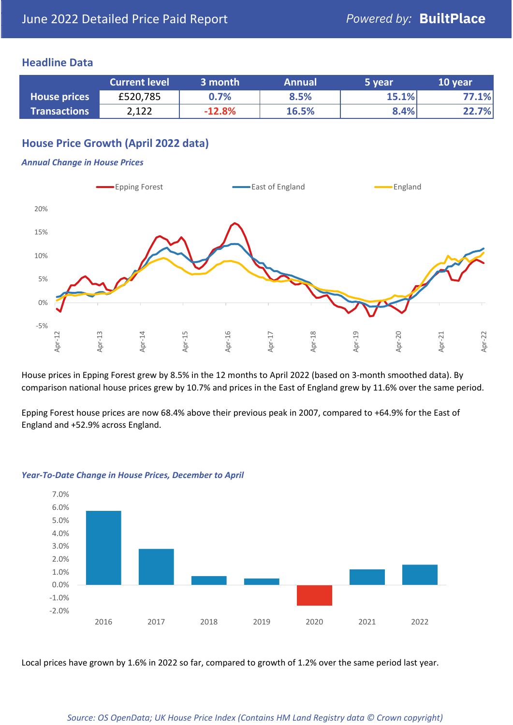#### **Headline Data**

|                     | <b>Current level</b> | 3 month  | <b>Annual</b> | 5 year | 10 year |
|---------------------|----------------------|----------|---------------|--------|---------|
| <b>House prices</b> | £520,785             | 0.7%     | 8.5%          | 15.1%  | 77.1%   |
| <b>Transactions</b> | 2,122                | $-12.8%$ | 16.5%         | 8.4%   | 22.7%   |

#### **House Price Growth (April 2022 data)**

#### *Annual Change in House Prices*



House prices in Epping Forest grew by 8.5% in the 12 months to April 2022 (based on 3-month smoothed data). By comparison national house prices grew by 10.7% and prices in the East of England grew by 11.6% over the same period.

Epping Forest house prices are now 68.4% above their previous peak in 2007, compared to +64.9% for the East of England and +52.9% across England.



#### *Year-To-Date Change in House Prices, December to April*

Local prices have grown by 1.6% in 2022 so far, compared to growth of 1.2% over the same period last year.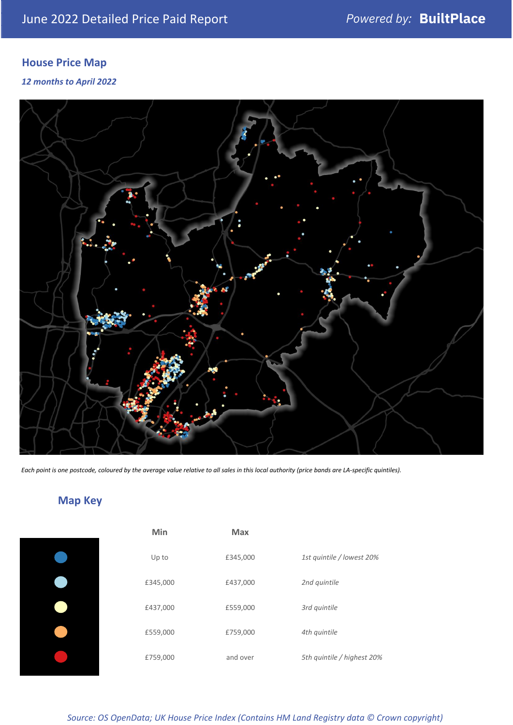#### **House Price Map**

*12 months to April 2022*



*Each point is one postcode, coloured by the average value relative to all sales in this local authority (price bands are LA-specific quintiles).*

### **Map Key**

| Min      | <b>Max</b> |                            |
|----------|------------|----------------------------|
| Up to    | £345,000   | 1st quintile / lowest 20%  |
| £345,000 | £437,000   | 2nd quintile               |
| £437,000 | £559,000   | 3rd quintile               |
| £559,000 | £759,000   | 4th quintile               |
| £759,000 | and over   | 5th quintile / highest 20% |
|          |            |                            |

*Source: OS OpenData; UK House Price Index (Contains HM Land Registry data © Crown copyright)*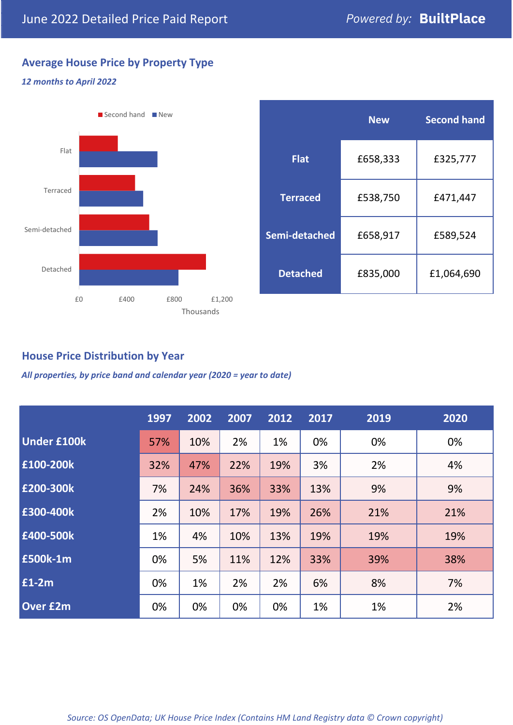#### **Average House Price by Property Type**

#### *12 months to April 2022*



|                 | <b>New</b> | <b>Second hand</b> |  |
|-----------------|------------|--------------------|--|
| <b>Flat</b>     | £658,333   | £325,777           |  |
| <b>Terraced</b> | £538,750   | £471,447           |  |
| Semi-detached   | £658,917   | £589,524           |  |
| <b>Detached</b> | £835,000   | £1,064,690         |  |

#### **House Price Distribution by Year**

*All properties, by price band and calendar year (2020 = year to date)*

|                    | 1997 | 2002 | 2007 | 2012 | 2017 | 2019 | 2020 |
|--------------------|------|------|------|------|------|------|------|
| <b>Under £100k</b> | 57%  | 10%  | 2%   | 1%   | 0%   | 0%   | 0%   |
| £100-200k          | 32%  | 47%  | 22%  | 19%  | 3%   | 2%   | 4%   |
| E200-300k          | 7%   | 24%  | 36%  | 33%  | 13%  | 9%   | 9%   |
| £300-400k          | 2%   | 10%  | 17%  | 19%  | 26%  | 21%  | 21%  |
| £400-500k          | 1%   | 4%   | 10%  | 13%  | 19%  | 19%  | 19%  |
| <b>£500k-1m</b>    | 0%   | 5%   | 11%  | 12%  | 33%  | 39%  | 38%  |
| £1-2m              | 0%   | 1%   | 2%   | 2%   | 6%   | 8%   | 7%   |
| <b>Over £2m</b>    | 0%   | 0%   | 0%   | 0%   | 1%   | 1%   | 2%   |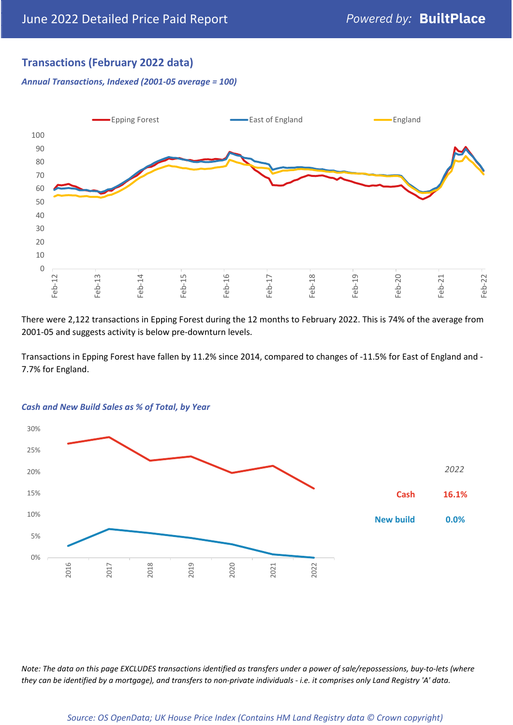#### **Transactions (February 2022 data)**

*Annual Transactions, Indexed (2001-05 average = 100)*



There were 2,122 transactions in Epping Forest during the 12 months to February 2022. This is 74% of the average from 2001-05 and suggests activity is below pre-downturn levels.

Transactions in Epping Forest have fallen by 11.2% since 2014, compared to changes of -11.5% for East of England and - 7.7% for England.



#### *Cash and New Build Sales as % of Total, by Year*

*Note: The data on this page EXCLUDES transactions identified as transfers under a power of sale/repossessions, buy-to-lets (where they can be identified by a mortgage), and transfers to non-private individuals - i.e. it comprises only Land Registry 'A' data.*